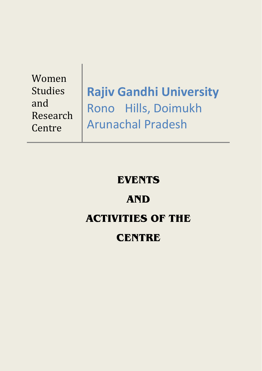Women Studies and Research Centre

**Rajiv Gandhi University** Rono Hills, Doimukh Arunachal Pradesh

## **EVENTS AND ACTIVITIES OF THE CENTRE**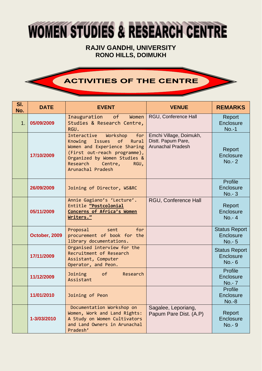## **WOMEN STUDIES & RESEARCH CENTRE**

## **RAJIV GANDHI, UNIVERSITY RONO HILLS, DOIMUKH**

## **ACTIVITIES OF THE CENTRE**

| SI.<br>No. | <b>DATE</b>   | <b>EVENT</b>                                                                                                                                                                                                     | <b>VENUE</b>                                                              | <b>REMARKS</b>                                      |
|------------|---------------|------------------------------------------------------------------------------------------------------------------------------------------------------------------------------------------------------------------|---------------------------------------------------------------------------|-----------------------------------------------------|
| 1.         | 05/09/2009    | Inauguration<br>of<br>Women<br>Studies & Research Centre,<br>RGU.                                                                                                                                                | RGU, Conference Hall                                                      | Report<br>Enclosure<br>$No.-1$                      |
|            | 17/10/2009    | Interactive<br>Workshop<br>for<br>Knowing Issues of<br>Rural<br>Women and Experience Sharing<br>(First out-reach programme),<br>Organized by Women Studies &<br>Research<br>Centre,<br>RGU,<br>Arunachal Pradesh | Emchi Village, Doimukh,<br>Distt. Papum Pare,<br><b>Arunachal Pradesh</b> | Report<br>Enclosure<br>$No.-2$                      |
|            | 26/09/2009    | Joining of Director, WS&RC                                                                                                                                                                                       |                                                                           | Profile<br>Enclosure<br>$No.-3$                     |
|            | 05/11/2009    | Annie Gagiano's 'Lecture'.<br>Entitle "Postcolonial<br>Concerns of Africa's Women<br>Writers."                                                                                                                   | RGU, Conference Hall                                                      | Report<br>Enclosure<br>$No.-4$                      |
|            | October, 2009 | for<br>Proposal<br>sent<br>procurement of book for the<br>library documentations.                                                                                                                                |                                                                           | <b>Status Report</b><br><b>Enclosure</b><br>$No.-5$ |
|            | 17/11/2009    | Organised interview for the<br>Recruitment of Research<br>Assistant, Computer<br>Operator, and Peon.                                                                                                             |                                                                           | <b>Status Report</b><br>Enclosure<br>$No.-6$        |
|            | 11/12/2009    | Joining of<br>Research<br>Assistant                                                                                                                                                                              |                                                                           | Profile<br>Enclosure<br>No. - 7                     |
|            | 11/01/2010    | Joining of Peon                                                                                                                                                                                                  |                                                                           | Profile<br><b>Enclosure</b><br>No.-8                |
|            | 1-3/03/2010   | Documentation Workshop on<br>Women, Work and Land Rights:<br>A Study on Women Cultivators<br>and Land Owners in Arunachal<br>Pradesh'                                                                            | Sagalee, Leporiang,<br>Papum Pare Dist. (A.P)                             | Report<br>Enclosure<br>No.-9                        |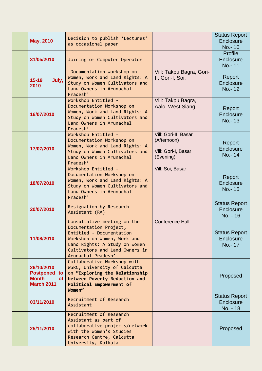| May, 2010                                                                       | Decision to publish 'Lectures'<br>as occasional paper                                                                                                                                                     |                                                                         | <b>Status Report</b><br>Enclosure<br>No.-10        |
|---------------------------------------------------------------------------------|-----------------------------------------------------------------------------------------------------------------------------------------------------------------------------------------------------------|-------------------------------------------------------------------------|----------------------------------------------------|
| 31/05/2010                                                                      | Joining of Computer Operator                                                                                                                                                                              |                                                                         | Profile<br>Enclosure<br>No.-11                     |
| $15 - 19$<br>July,<br>2010                                                      | Documentation Workshop on<br>Women, Work and Land Rights: A<br>Study on Women Cultivators and<br>Land Owners in Arunachal<br>Pradesh'                                                                     | Vill: Takpu Bagra, Gori-<br>II, Gori-I, Soi.                            | Report<br>Enclosure<br>No.-12                      |
| 16/07/2010                                                                      | Workshop Entitled -<br>Documentation Workshop on<br>Women, Work and Land Rights: A<br>Study on Women Cultivators and<br>Land Owners in Arunachal<br>Pradesh'                                              | Vill: Takpu Bagra,<br>Aalo, West Siang                                  | Report<br>Enclosure<br>No.-13                      |
| 17/07/2010                                                                      | Workshop Entitled -<br>Documentation Workshop on<br>Women, Work and Land Rights: A<br>Study on Women Cultivators and<br>Land Owners in Arunachal<br>Pradesh'                                              | Vill: Gori-II, Basar<br>(Afternoon)<br>Vill: Gori-I, Basar<br>(Evening) | Report<br>Enclosure<br>No.-14                      |
| 18/07/2010                                                                      | Workshop Entitled -<br>Documentation Workshop on<br>Women, Work and Land Rights: A<br>Study on Women Cultivators and<br>Land Owners in Arunachal<br>Pradesh'                                              | Vill: Soi, Basar                                                        | Report<br>Enclosure<br>No.-15                      |
| 20/07/2010                                                                      | Resignation by Research<br>Assistant (RA)                                                                                                                                                                 |                                                                         | <b>Status Report</b><br>Enclosure<br>No. - 16      |
| 11/08/2010                                                                      | Consultative meeting on the<br>Documentation Project,<br>Entitled - Documentation<br>Workshop on Women, Work and<br>Land Rights: A Study on Women<br>Cultivators and Land Owners in<br>Arunachal Pradesh' | <b>Conference Hall</b>                                                  | <b>Status Report</b><br><b>Enclosure</b><br>No.-17 |
| 26/10/2010<br><b>Postponed</b><br>to<br><b>Month</b><br>of<br><b>March 2011</b> | Collaborative Workshop with<br>WSRC, University of Calcutta<br>on "Exploring the Relationship<br>between Poverty Reduction and<br>Political Empowerment of<br>Women"                                      |                                                                         | Proposed                                           |
| 03/11/2010                                                                      | Recruitment of Research<br>Assistant                                                                                                                                                                      |                                                                         | <b>Status Report</b><br>Enclosure<br>No. - 18      |
| 25/11/2010                                                                      | Recruitment of Research<br>Assistant as part of<br>collaborative projects/network<br>with the Women's Studies<br>Research Centre, Calcutta<br>University, Kolkata                                         |                                                                         | Proposed                                           |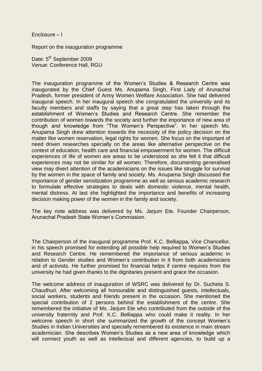Enclosure – I

Report on the inauguration programme

Date: 5<sup>th</sup> September 2009 Venue: Conference Hall, RGU

The inauguration programme of the Women's Studies & Research Centre was inaugurated by the Chief Guest Ms. Anupama Singh, First Lady of Arunachal Pradesh, former president of Army Women Welfare Association. She had delivered inaugural speech. In her inaugural speech she congratulated the university and its faculty members and staffs by saying that a great step has taken through the establishment of Women's Studies and Research Centre. She remember the contribution of women towards the society and further the importance of new area of though and knowledge from "The Women's Perspective". In her speech Ms. Anupama Singh drew attention towards the necessity of the policy decision on the matter like women reservation, legal rights for women. She focus on the important of need driven researches specially on the areas like alternative perspective on the context of education, health care and financial empowerment for women. The difficult experiences of life of women are areas to be understood as she felt it that difficult experiences may not be similar for all women. Therefore, documenting generalised view may divert attention of the academicians on the issues like struggle for survival by the women in the space of family and society. Ms. Anupama Singh discussed the importance of gender sensitization programme as well as serious academic research to formulate effective strategies to deals with domestic violence, mental health, mental distress. At last she highlighted the importance and benefits of increasing decision making power of the women in the family and society.

The key note address was delivered by Ms. Jarjum Ete, Founder Chairperson, Arunachal Pradesh State Women's Commission.

The Chairperson of the inaugural programme Prof. K.C. Belliappa, Vice Chancellor, in his speech promised for extending all possible help required to Women's Studies and Research Centre. He remembered the importance of serious academic in relation to Gender studies and Women's contribution in it from both academicians and of activists. He further promised for financial helps if centre requires from the university he had given thanks to the dignitaries present and grace the occasion.

The welcome address of inauguration of WSRC was delivered by Dr. Sucheta S. Chaudhuri. After welcoming all honourable and distinguished guests, intellectuals, social workers, students and friends present in the occasion. She mentioned the special contribution of 2 persons behind the establishment of the centre. She remembered the initiative of Ms. Jarjum Ete who contributed from the outside of the university fraternity and Prof. K.C. Belliappa who could make it reality. In her welcome speech in short she summarized the growth of the concept Women's Studies in Indian Universities and specially remembered its existence in main stream academician. She describes Women's Studies as a new area of knowledge which will connect youth as well as intellectual and different agencies, to build up a